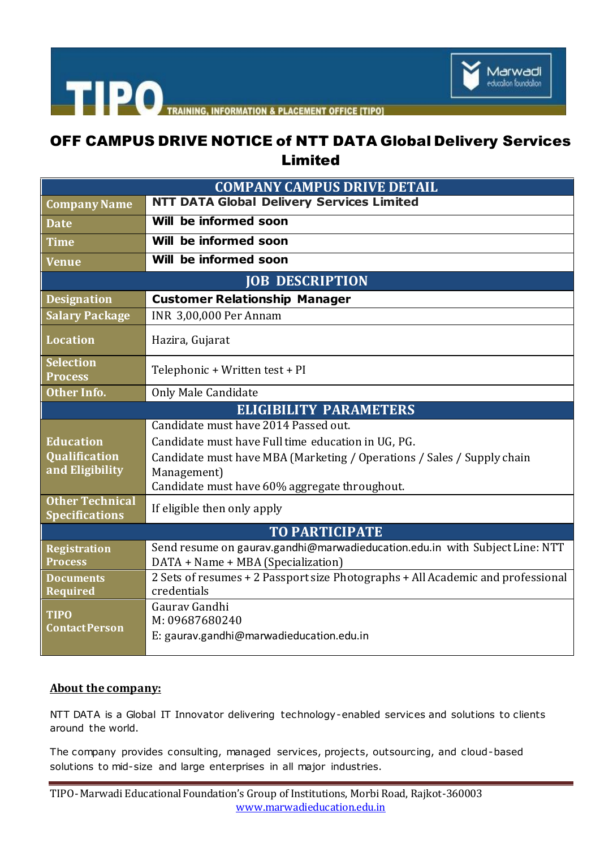

## OFF CAMPUS DRIVE NOTICE of NTT DATA Global Delivery Services Limited

| <b>COMPANY CAMPUS DRIVE DETAIL</b>  |                                                                                                |
|-------------------------------------|------------------------------------------------------------------------------------------------|
| <b>Company Name</b>                 | <b>NTT DATA Global Delivery Services Limited</b>                                               |
| <b>Date</b>                         | Will be informed soon                                                                          |
| <b>Time</b>                         | Will be informed soon                                                                          |
| <b>Venue</b>                        | Will be informed soon                                                                          |
| <b>JOB DESCRIPTION</b>              |                                                                                                |
| <b>Designation</b>                  | <b>Customer Relationship Manager</b>                                                           |
| <b>Salary Package</b>               | <b>INR 3,00,000 Per Annam</b>                                                                  |
| <b>Location</b>                     | Hazira, Gujarat                                                                                |
| <b>Selection</b><br><b>Process</b>  | Telephonic + Written test + PI                                                                 |
| <b>Other Info.</b>                  | <b>Only Male Candidate</b>                                                                     |
| <b>ELIGIBILITY PARAMETERS</b>       |                                                                                                |
|                                     | Candidate must have 2014 Passed out.                                                           |
| <b>Education</b>                    | Candidate must have Full time education in UG, PG.                                             |
| <b>Qualification</b>                | Candidate must have MBA (Marketing / Operations / Sales / Supply chain                         |
| and Eligibility                     | Management)                                                                                    |
| <b>Other Technical</b>              | Candidate must have 60% aggregate throughout.                                                  |
| <b>Specifications</b>               | If eligible then only apply                                                                    |
| <b>TO PARTICIPATE</b>               |                                                                                                |
| <b>Registration</b>                 | Send resume on gaurav.gandhi@marwadieducation.edu.in with Subject Line: NTT                    |
| <b>Process</b>                      | DATA + Name + MBA (Specialization)                                                             |
| <b>Documents</b><br><b>Required</b> | 2 Sets of resumes + 2 Passport size Photographs + All Academic and professional<br>credentials |
| <b>TIPO</b>                         | Gauray Gandhi                                                                                  |
| <b>Contact Person</b>               | M: 09687680240                                                                                 |
|                                     | E: gaurav.gandhi@marwadieducation.edu.in                                                       |

## **About the company:**

NTT DATA is a Global IT Innovator delivering technology-enabled services and solutions to clients around the world.

The company provides consulting, managed services, projects, outsourcing, and cloud-based solutions to mid-size and large enterprises in all major industries.